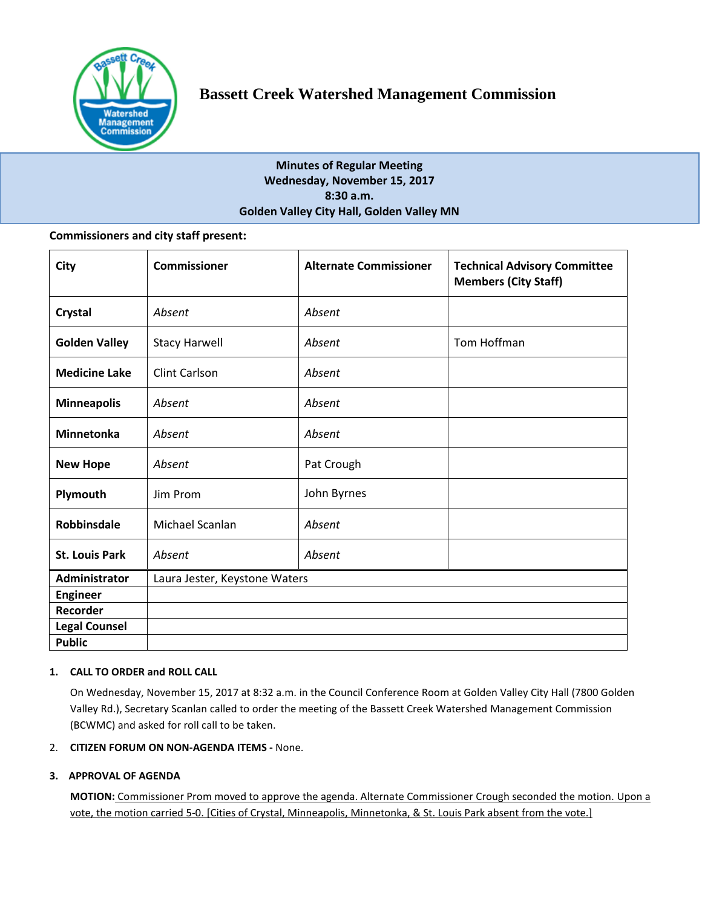

# **Minutes of Regular Meeting Wednesday, November 15, 2017 8:30 a.m. Golden Valley City Hall, Golden Valley MN**

## **Commissioners and city staff present:**

| City                  | <b>Commissioner</b>           | <b>Alternate Commissioner</b> | <b>Technical Advisory Committee</b><br><b>Members (City Staff)</b> |
|-----------------------|-------------------------------|-------------------------------|--------------------------------------------------------------------|
| Crystal               | Absent                        | Absent                        |                                                                    |
| <b>Golden Valley</b>  | <b>Stacy Harwell</b>          | Absent                        | Tom Hoffman                                                        |
| <b>Medicine Lake</b>  | <b>Clint Carlson</b>          | Absent                        |                                                                    |
| <b>Minneapolis</b>    | Absent                        | Absent                        |                                                                    |
| <b>Minnetonka</b>     | Absent                        | Absent                        |                                                                    |
| <b>New Hope</b>       | Absent                        | Pat Crough                    |                                                                    |
| Plymouth              | Jim Prom                      | John Byrnes                   |                                                                    |
| <b>Robbinsdale</b>    | Michael Scanlan               | Absent                        |                                                                    |
| <b>St. Louis Park</b> | Absent                        | Absent                        |                                                                    |
| <b>Administrator</b>  | Laura Jester, Keystone Waters |                               |                                                                    |
| <b>Engineer</b>       |                               |                               |                                                                    |
| Recorder              |                               |                               |                                                                    |
| <b>Legal Counsel</b>  |                               |                               |                                                                    |
| <b>Public</b>         |                               |                               |                                                                    |

## **1. CALL TO ORDER and ROLL CALL**

On Wednesday, November 15, 2017 at 8:32 a.m. in the Council Conference Room at Golden Valley City Hall (7800 Golden Valley Rd.), Secretary Scanlan called to order the meeting of the Bassett Creek Watershed Management Commission (BCWMC) and asked for roll call to be taken.

## 2. **CITIZEN FORUM ON NON-AGENDA ITEMS -** None.

## **3. APPROVAL OF AGENDA**

**MOTION:** Commissioner Prom moved to approve the agenda. Alternate Commissioner Crough seconded the motion. Upon a vote, the motion carried 5-0. [Cities of Crystal, Minneapolis, Minnetonka, & St. Louis Park absent from the vote.]